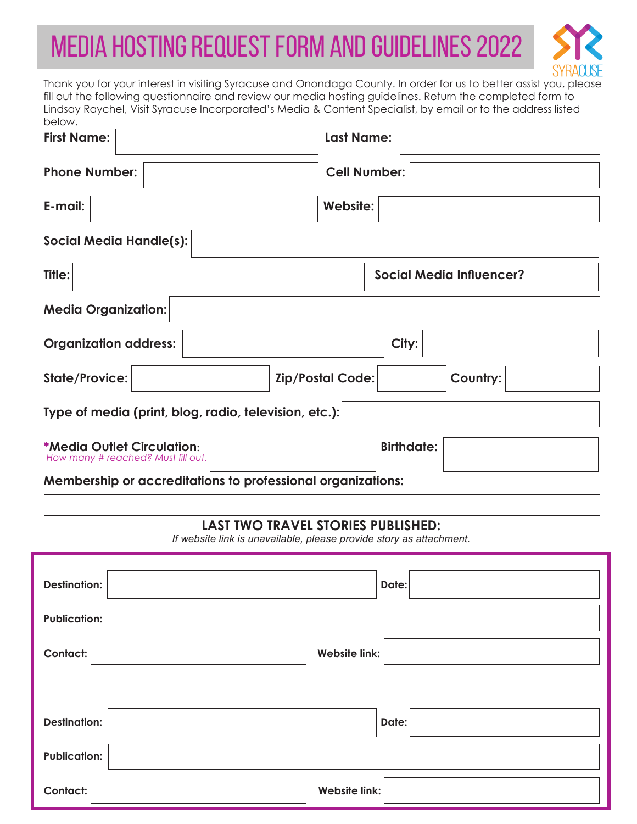## Media Hosting request form and guidelines 2022



Thank you for your interest in visiting Syracuse and Onondaga County. In order for us to better assist you, please fill out the following questionnaire and review our media hosting guidelines. Return the completed form to Lindsay Raychel, Visit Syracuse Incorporated's Media & Content Specialist, by email or to the address listed below.

| <b>First Name:</b>                                                      | <b>Last Name:</b>                   |
|-------------------------------------------------------------------------|-------------------------------------|
| <b>Phone Number:</b>                                                    | <b>Cell Number:</b>                 |
| E-mail:                                                                 | Website:                            |
| <b>Social Media Handle(s):</b>                                          |                                     |
| Title:                                                                  | <b>Social Media Influencer?</b>     |
| <b>Media Organization:</b>                                              |                                     |
| <b>Organization address:</b>                                            | City:                               |
| <b>State/Provice:</b>                                                   | <b>Zip/Postal Code:</b><br>Country: |
| Type of media (print, blog, radio, television, etc.):                   |                                     |
| <b>*Media Outlet Circulation:</b><br>How many # reached? Must fill out. | <b>Birthdate:</b>                   |
| Membership or accreditations to professional organizations:             |                                     |

## **LAST TWO TRAVEL STORIES PUBLISHED:**

*If website link is unavailable, please provide story as attachment.*

| <b>Destination:</b> | Date:                |
|---------------------|----------------------|
| <b>Publication:</b> |                      |
| <b>Contact:</b>     | <b>Website link:</b> |
|                     |                      |
| <b>Destination:</b> | Date:                |
| <b>Publication:</b> |                      |
| Contact:            | <b>Website link:</b> |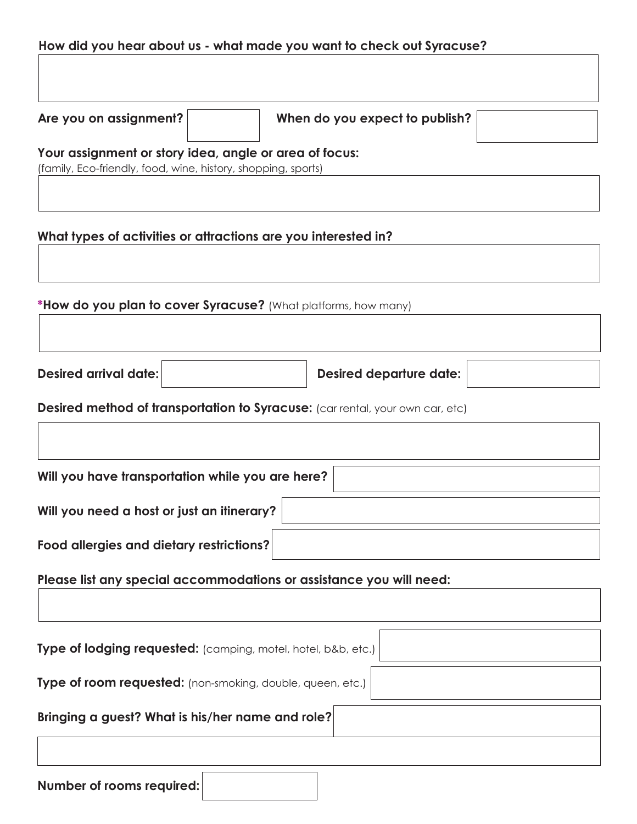## **How did you hear about us - what made you want to check out Syracuse?**

**Are you on assignment? When do you expect to publish?**

**Your assignment or story idea, angle or area of focus:** 

(family, Eco-friendly, food, wine, history, shopping, sports)

**What types of activities or attractions are you interested in?**

**\*How do you plan to cover Syracuse?** (What platforms, how many)

**Desired arrival date: Desired departure date:**

**Desired method of transportation to Syracuse:** (car rental, your own car, etc)

| Will you have transportation while you are here? |  |
|--------------------------------------------------|--|
| Will you need a host or just an itinerary?       |  |
| Food allergies and dietary restrictions?         |  |

**Please list any special accommodations or assistance you will need:**

| Type of lodging requested: (camping, motel, hotel, b&b, etc.) |  |
|---------------------------------------------------------------|--|
| Type of room requested: (non-smoking, double, queen, etc.)    |  |
| Bringing a guest? What is his/her name and role?              |  |
|                                                               |  |

| Number of rooms required: |  |  |
|---------------------------|--|--|
|---------------------------|--|--|